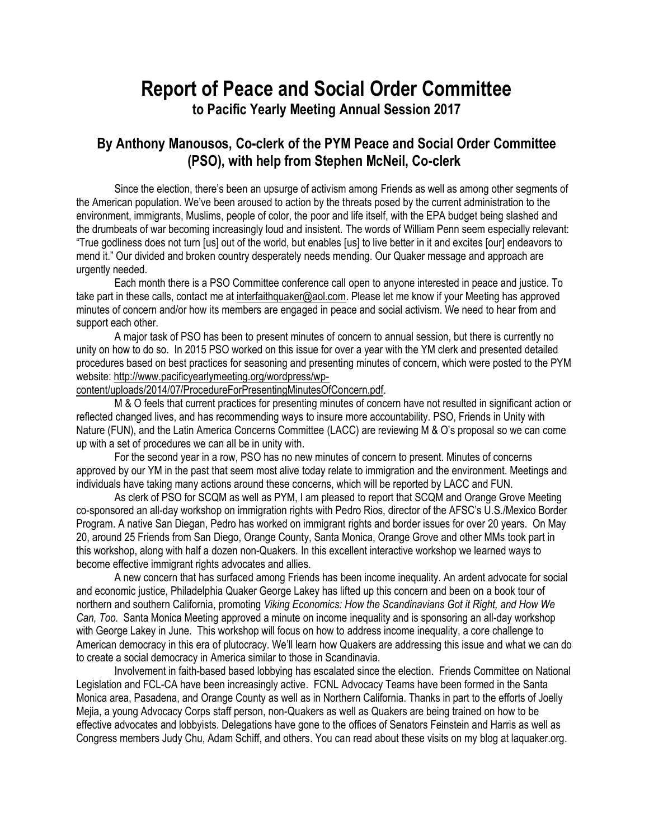# **Report of Peace and Social Order Committee to Pacific Yearly Meeting Annual Session 2017**

## **By Anthony Manousos, Co-clerk of the PYM Peace and Social Order Committee (PSO), with help from Stephen McNeil, Co-clerk**

Since the election, there's been an upsurge of activism among Friends as well as among other segments of the American population. We've been aroused to action by the threats posed by the current administration to the environment, immigrants, Muslims, people of color, the poor and life itself, with the EPA budget being slashed and the drumbeats of war becoming increasingly loud and insistent. The words of William Penn seem especially relevant: "True godliness does not turn [us] out of the world, but enables [us] to live better in it and excites [our] endeavors to mend it." Our divided and broken country desperately needs mending. Our Quaker message and approach are urgently needed.

Each month there is a PSO Committee conference call open to anyone interested in peace and justice. To take part in these calls, contact me at [interfaithquaker@aol.com.](mailto:interfaithquaker@aol.com) Please let me know if your Meeting has approved minutes of concern and/or how its members are engaged in peace and social activism. We need to hear from and support each other.

A major task of PSO has been to present minutes of concern to annual session, but there is currently no unity on how to do so. In 2015 PSO worked on this issue for over a year with the YM clerk and presented detailed procedures based on best practices for seasoning and presenting minutes of concern, which were posted to the PYM website[: http://www.pacificyearlymeeting.org/wordpress/wp-](http://www.pacificyearlymeeting.org/wordpress/wp-content/uploads/2014/07/ProcedureForPresentingMinutesOfConcern.pdf)

[content/uploads/2014/07/ProcedureForPresentingMinutesOfConcern.pdf.](http://www.pacificyearlymeeting.org/wordpress/wp-content/uploads/2014/07/ProcedureForPresentingMinutesOfConcern.pdf)

M & O feels that current practices for presenting minutes of concern have not resulted in significant action or reflected changed lives, and has recommending ways to insure more accountability. PSO, Friends in Unity with Nature (FUN), and the Latin America Concerns Committee (LACC) are reviewing M & O's proposal so we can come up with a set of procedures we can all be in unity with.

For the second year in a row, PSO has no new minutes of concern to present. Minutes of concerns approved by our YM in the past that seem most alive today relate to immigration and the environment. Meetings and individuals have taking many actions around these concerns, which will be reported by LACC and FUN.

As clerk of PSO for SCQM as well as PYM, I am pleased to report that SCQM and Orange Grove Meeting co-sponsored an all-day workshop on immigration rights with Pedro Rios, director of the AFSC's U.S./Mexico Border Program. A native San Diegan, Pedro has worked on immigrant rights and border issues for over 20 years. On May 20, around 25 Friends from San Diego, Orange County, Santa Monica, Orange Grove and other MMs took part in this workshop, along with half a dozen non-Quakers. In this excellent interactive workshop we learned ways to become effective immigrant rights advocates and allies.

A new concern that has surfaced among Friends has been income inequality. An ardent advocate for social and economic justice, Philadelphia Quaker George Lakey has lifted up this concern and been on a book tour of northern and southern California, promoting *Viking Economics: How the Scandinavians Got it Right, and How We Can, Too.* Santa Monica Meeting approved a minute on income inequality and is sponsoring an all-day workshop with George Lakey in June. This workshop will focus on how to address income inequality, a core challenge to American democracy in this era of plutocracy. We'll learn how Quakers are addressing this issue and what we can do to create a social democracy in America similar to those in Scandinavia.

Involvement in faith-based based lobbying has escalated since the election. Friends Committee on National Legislation and FCL-CA have been increasingly active. FCNL Advocacy Teams have been formed in the Santa Monica area, Pasadena, and Orange County as well as in Northern California. Thanks in part to the efforts of Joelly Mejia, a young Advocacy Corps staff person, non-Quakers as well as Quakers are being trained on how to be effective advocates and lobbyists. Delegations have gone to the offices of Senators Feinstein and Harris as well as Congress members Judy Chu, Adam Schiff, and others. You can read about these visits on my blog at laquaker.org.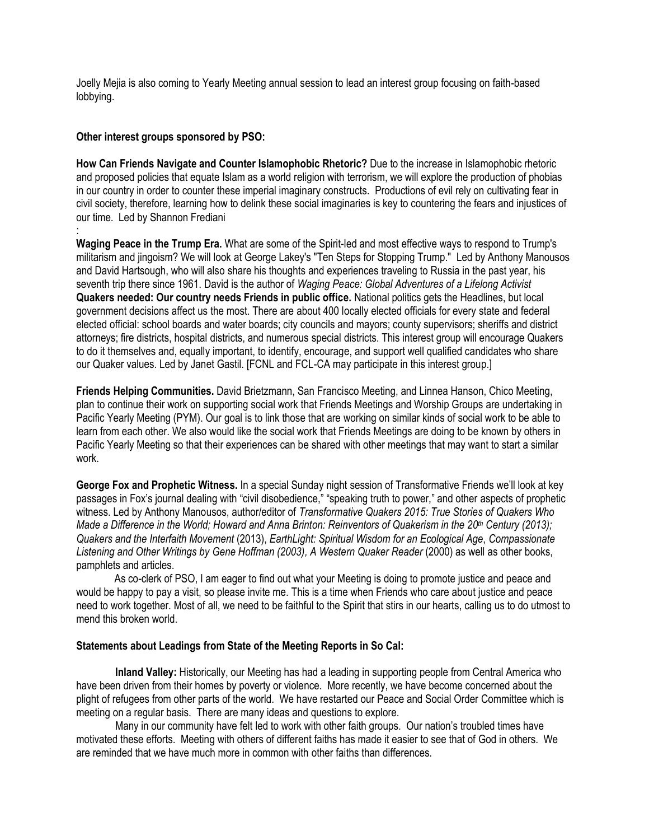Joelly Mejia is also coming to Yearly Meeting annual session to lead an interest group focusing on faith-based lobbying.

#### **Other interest groups sponsored by PSO:**

**How Can Friends Navigate and Counter Islamophobic Rhetoric?** Due to the increase in Islamophobic rhetoric and proposed policies that equate Islam as a world religion with terrorism, we will explore the production of phobias in our country in order to counter these imperial imaginary constructs. Productions of evil rely on cultivating fear in civil society, therefore, learning how to delink these social imaginaries is key to countering the fears and injustices of our time. Led by Shannon Frediani :

**Waging Peace in the Trump Era.** What are some of the Spirit-led and most effective ways to respond to Trump's militarism and jingoism? We will look at George Lakey's "Ten Steps for Stopping Trump." Led by Anthony Manousos and David Hartsough, who will also share his thoughts and experiences traveling to Russia in the past year, his seventh trip there since 1961. David is the author of *Waging Peace: Global Adventures of a Lifelong Activist* **Quakers needed: Our country needs Friends in public office.** National politics gets the Headlines, but local government decisions affect us the most. There are about 400 locally elected officials for every state and federal elected official: school boards and water boards; city councils and mayors; county supervisors; sheriffs and district attorneys; fire districts, hospital districts, and numerous special districts. This interest group will encourage Quakers to do it themselves and, equally important, to identify, encourage, and support well qualified candidates who share our Quaker values. Led by Janet Gastil. [FCNL and FCL-CA may participate in this interest group.]

**Friends Helping Communities.** David Brietzmann, San Francisco Meeting, and Linnea Hanson, Chico Meeting, plan to continue their work on supporting social work that Friends Meetings and Worship Groups are undertaking in Pacific Yearly Meeting (PYM). Our goal is to link those that are working on similar kinds of social work to be able to learn from each other. We also would like the social work that Friends Meetings are doing to be known by others in Pacific Yearly Meeting so that their experiences can be shared with other meetings that may want to start a similar work.

**George Fox and Prophetic Witness.** In a special Sunday night session of Transformative Friends we'll look at key passages in Fox's journal dealing with "civil disobedience," "speaking truth to power," and other aspects of prophetic witness. Led by Anthony Manousos, author/editor of *Transformative Quakers 2015: True Stories of Quakers Who Made a Difference in the World; Howard and Anna Brinton: Reinventors of Quakerism in the 20th Century (2013); Quakers and the Interfaith Movement* (2013), *EarthLight: Spiritual Wisdom for an Ecological Age*, *Compassionate Listening and Other Writings by Gene Hoffman (2003), A Western Quaker Reader* (2000) as well as other books, pamphlets and articles.

As co-clerk of PSO, I am eager to find out what your Meeting is doing to promote justice and peace and would be happy to pay a visit, so please invite me. This is a time when Friends who care about justice and peace need to work together. Most of all, we need to be faithful to the Spirit that stirs in our hearts, calling us to do utmost to mend this broken world.

#### **Statements about Leadings from State of the Meeting Reports in So Cal:**

**Inland Valley:** Historically, our Meeting has had a leading in supporting people from Central America who have been driven from their homes by poverty or violence. More recently, we have become concerned about the plight of refugees from other parts of the world. We have restarted our Peace and Social Order Committee which is meeting on a regular basis. There are many ideas and questions to explore.

Many in our community have felt led to work with other faith groups. Our nation's troubled times have motivated these efforts. Meeting with others of different faiths has made it easier to see that of God in others. We are reminded that we have much more in common with other faiths than differences.